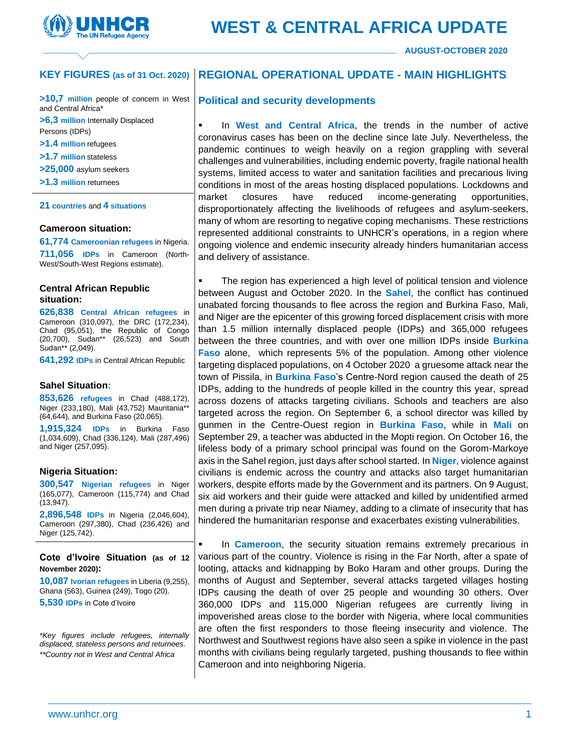

**AUGUST-OCTOBER 2020**

#### **REGIONAL OPERATIONAL UPDATE - MAIN HIGHLIGHTS KEY FIGURES (as of 31 Oct. 2020)**

**>10,7 million** people of concern in West and Central Africa\*

**>6,3 million** Internally Displaced Persons (IDPs)

**>1.4 million** refugees

- **>1.7 million** stateless
- **>25,000** asylum seekers
- **>1.3 million** returnees

#### **21 countries** and **4 situations**

#### **Cameroon situation:**

**61,774 Cameroonian refugees** in Nigeria. **711,056 IDPs** in Cameroon (North-West/South-West Regions estimate).

#### **Central African Republic situation:**

**626,838 Central African refugees** in Cameroon (310,097), the DRC (172,234), Chad (95,051), the Republic of Congo (20,700), Sudan\*\* (26,523) and South Sudan\*\* (2,049).

**641,292 IDPs** in Central African Republic

#### **Sahel Situation:**

**853,626 refugees** in Chad (488,172), Niger (233,180), Mali (43,752) Mauritania\*\* (64,644), and Burkina Faso (20,065).

**1,915,324 IDPs** in Burkina Faso (1,034,609), Chad (336,124), Mali (287,496) and Niger (257,095).

#### **Nigeria Situation:**

**300,547 Nigerian refugees** in Niger (165,077), Cameroon (115,774) and Chad (13,947).

**2,896,548 IDPs** in Nigeria (2,046,604), Cameroon (297,380), Chad (236,426) and Niger (125,742).

**Cote d'Ivoire Situation (as of 12 November 2020):** 

**10,087 Ivorian refugees** in Liberia (9,255), Ghana (563), Guinea (249), Togo (20). **5,530 IDPs** in Cote d'Ivoire

*\*Key figures include refugees, internally displaced, stateless persons and returnees. \*\*Country not in West and Central Africa*

### **Political and security developments**

In West and Central Africa, the trends in the number of active coronavirus cases has been on the decline since late July. Nevertheless, the pandemic continues to weigh heavily on a region grappling with several challenges and vulnerabilities, including endemic poverty, fragile national health systems, limited access to water and sanitation facilities and precarious living conditions in most of the areas hosting displaced populations. Lockdowns and market closures have reduced income-generating opportunities, disproportionately affecting the livelihoods of refugees and asylum-seekers, many of whom are resorting to negative coping mechanisms. These restrictions represented additional constraints to UNHCR's operations, in a region where ongoing violence and endemic insecurity already hinders humanitarian access and delivery of assistance.

The region has experienced a high level of political tension and violence between August and October 2020. In the **Sahel**, the conflict has continued unabated forcing thousands to flee across the region and Burkina Faso, Mali, and Niger are the epicenter of this growing forced displacement crisis with more than 1.5 million internally displaced people (IDPs) and 365,000 refugees between the three countries, and with over one million IDPs inside **Burkina Faso** alone, which represents 5% of the population. Among other violence targeting displaced populations, on 4 October 2020 a gruesome attack near the town of Pissila, in **Burkina Faso**'s Centre-Nord region caused the death of 25 IDPs, adding to the hundreds of people killed in the country this year, spread across dozens of attacks targeting civilians. Schools and teachers are also targeted across the region. On September 6, a school director was killed by gunmen in the Centre-Ouest region in **Burkina Faso**, while in **Mali** on September 29, a teacher was abducted in the Mopti region. On October 16, the lifeless body of a primary school principal was found on the Gorom-Markoye axis in the Sahel region, just days after school started. In **Niger**, violence against civilians is endemic across the country and attacks also target humanitarian workers, despite efforts made by the Government and its partners. On 9 August, six aid workers and their guide were attacked and killed by unidentified armed men during a private trip near Niamey, adding to a climate of insecurity that has hindered the humanitarian response and exacerbates existing vulnerabilities.

In **Cameroon**, the security situation remains extremely precarious in various part of the country. Violence is rising in the Far North, after a spate of looting, attacks and kidnapping by Boko Haram and other groups. During the months of August and September, several attacks targeted villages hosting IDPs causing the death of over 25 people and wounding 30 others. Over 360,000 IDPs and 115,000 Nigerian refugees are currently living in impoverished areas close to the border with Nigeria, where local communities are often the first responders to those fleeing insecurity and violence. The Northwest and Southwest regions have also seen a spike in violence in the past months with civilians being regularly targeted, pushing thousands to flee within Cameroon and into neighboring Nigeria.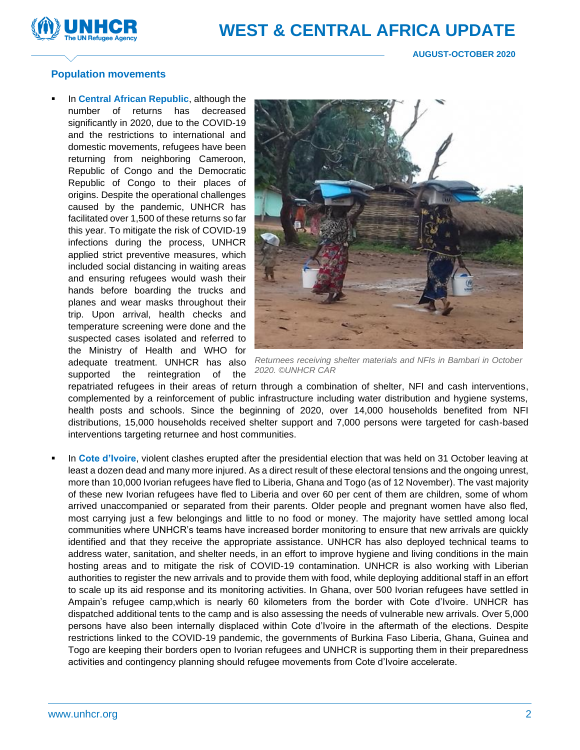

# **Population movements**

In **Central African Republic**, although the number of returns has decreased significantly in 2020, due to the COVID-19 and the restrictions to international and domestic movements, refugees have been returning from neighboring Cameroon, Republic of Congo and the Democratic Republic of Congo to their places of origins. Despite the operational challenges caused by the pandemic, UNHCR has facilitated over 1,500 of these returns so far this year. To mitigate the risk of COVID-19 infections during the process, UNHCR applied strict preventive measures, which included social distancing in waiting areas and ensuring refugees would wash their hands before boarding the trucks and planes and wear masks throughout their trip. Upon arrival, health checks and temperature screening were done and the suspected cases isolated and referred to the Ministry of Health and WHO for adequate treatment. UNHCR has also supported the reintegration of the



*Returnees receiving shelter materials and NFIs in Bambari in October 2020. ©UNHCR CAR*

repatriated refugees in their areas of return through a combination of shelter, NFI and cash interventions, complemented by a reinforcement of public infrastructure including water distribution and hygiene systems, health posts and schools. Since the beginning of 2020, over 14,000 households benefited from NFI distributions, 15,000 households received shelter support and 7,000 persons were targeted for cash-based interventions targeting returnee and host communities.

In Cote d'Ivoire, violent clashes erupted after the presidential election that was held on 31 October leaving at least a dozen dead and many more injured. As a direct result of these electoral tensions and the ongoing unrest, more than 10,000 Ivorian refugees have fled to Liberia, Ghana and Togo (as of 12 November). The vast majority of these new Ivorian refugees have fled to Liberia and over 60 per cent of them are children, some of whom arrived unaccompanied or separated from their parents. Older people and pregnant women have also fled, most carrying just a few belongings and little to no food or money. The majority have settled among local communities where UNHCR's teams have increased border monitoring to ensure that new arrivals are quickly identified and that they receive the appropriate assistance. UNHCR has also deployed technical teams to address water, sanitation, and shelter needs, in an effort to improve hygiene and living conditions in the main hosting areas and to mitigate the risk of COVID-19 contamination. UNHCR is also working with Liberian authorities to register the new arrivals and to provide them with food, while deploying additional staff in an effort to scale up its aid response and its monitoring activities. In Ghana, over 500 Ivorian refugees have settled in Ampain's refugee camp,which is nearly 60 kilometers from the border with Cote d'Ivoire. UNHCR has dispatched additional tents to the camp and is also assessing the needs of vulnerable new arrivals. Over 5,000 persons have also been internally displaced within Cote d'Ivoire in the aftermath of the elections. Despite restrictions linked to the COVID-19 pandemic, the governments of Burkina Faso Liberia, Ghana, Guinea and Togo are keeping their borders open to Ivorian refugees and UNHCR is supporting them in their preparedness activities and contingency planning should refugee movements from Cote d'Ivoire accelerate.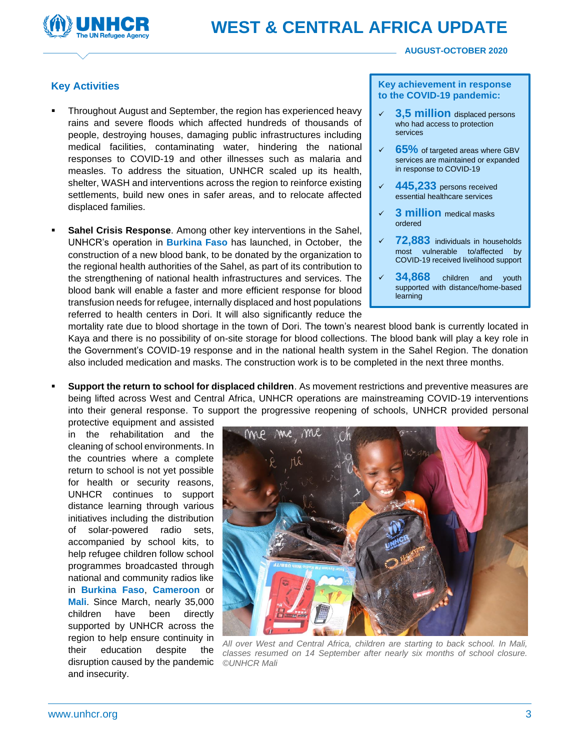

#### **AUGUST-OCTOBER 2020**

# **Key Activities**

- Throughout August and September, the region has experienced heavy rains and severe floods which affected hundreds of thousands of people, destroying houses, damaging public infrastructures including medical facilities, contaminating water, hindering the national responses to COVID-19 and other illnesses such as malaria and measles. To address the situation, UNHCR scaled up its health, shelter, WASH and interventions across the region to reinforce existing settlements, build new ones in safer areas, and to relocate affected displaced families.
- **Sahel Crisis Response.** Among other key interventions in the Sahel, UNHCR's operation in **Burkina Faso** has launched, in October, the construction of a new blood bank, to be donated by the organization to the regional health authorities of the Sahel, as part of its contribution to the strengthening of national health infrastructures and services. The blood bank will enable a faster and more efficient response for blood transfusion needs for refugee, internally displaced and host populations referred to health centers in Dori. It will also significantly reduce the

#### **Key achievement in response to the COVID-19 pandemic:**

- **3,5 million** displaced persons who had access to protection services
- **65%** of targeted areas where GBV services are maintained or expanded in response to COVID-19
- **445,233** persons received essential healthcare services
- **3 million** medical masks ordered
- ✓ **72,883** individuals in households most vulnerable to/affected by COVID-19 received livelihood support
- **34,868** children and youth supported with distance/home-based learning

mortality rate due to blood shortage in the town of Dori. The town's nearest blood bank is currently located in Kaya and there is no possibility of on-site storage for blood collections. The blood bank will play a key role in the Government's COVID-19 response and in the national health system in the Sahel Region. The donation also included medication and masks. The construction work is to be completed in the next three months.

**Support the return to school for displaced children**. As movement restrictions and preventive measures are being lifted across West and Central Africa, UNHCR operations are mainstreaming COVID-19 interventions into their general response. To support the progressive reopening of schools, UNHCR provided personal

protective equipment and assisted in the rehabilitation and the cleaning of school environments. In the countries where a complete return to school is not yet possible for health or security reasons, UNHCR continues to support distance learning through various initiatives including the distribution of solar-powered radio sets, accompanied by school kits, to help refugee children follow school programmes broadcasted through national and community radios like in **Burkina Faso**, **Cameroon** or **Mali**. Since March, nearly 35,000 children have been directly supported by UNHCR across the region to help ensure continuity in their education despite the disruption caused by the pandemic and insecurity.



*All over West and Central Africa, children are starting to back school. In Mali, classes resumed on 14 September after nearly six months of school closure. ©UNHCR Mali*